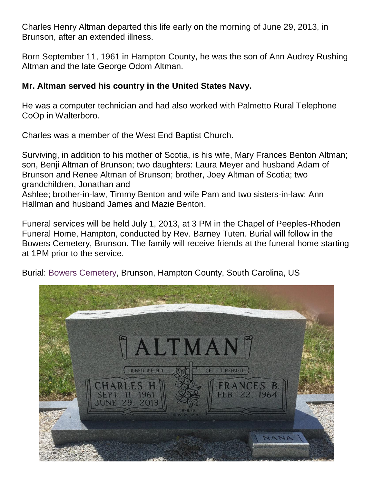Charles Henry Altman departed this life early on the morning of June 29, 2013, in Brunson, after an extended illness.

Born September 11, 1961 in Hampton County, he was the son of Ann Audrey Rushing Altman and the late George Odom Altman.

## **Mr. Altman served his country in the United States Navy.**

He was a computer technician and had also worked with Palmetto Rural Telephone CoOp in Walterboro.

Charles was a member of the West End Baptist Church.

Surviving, in addition to his mother of Scotia, is his wife, Mary Frances Benton Altman; son, Benji Altman of Brunson; two daughters: Laura Meyer and husband Adam of Brunson and Renee Altman of Brunson; brother, Joey Altman of Scotia; two grandchildren, Jonathan and Ashlee; brother-in-law, Timmy Benton and wife Pam and two sisters-in-law: Ann Hallman and husband James and Mazie Benton.

Funeral services will be held July 1, 2013, at 3 PM in the Chapel of Peeples-Rhoden Funeral Home, Hampton, conducted by Rev. Barney Tuten. Burial will follow in the Bowers Cemetery, Brunson. The family will receive friends at the funeral home starting at 1PM prior to the service.

Burial: [Bowers Cemetery,](http://www.findagrave.com/cgi-bin/fg.cgi?page=cr&GRid=113091986&CRid=2162672&) Brunson, Hampton County, South Carolina, US